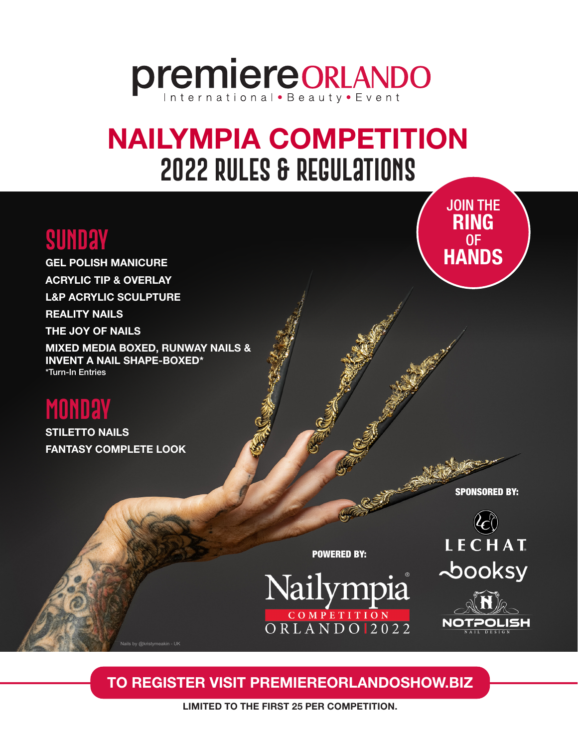# **premiereORLANDO**

# NAILYMPIA COMPETITION **2022 rules & regulations**

**SUNDAY** OF OF OF SUNDAY GEL POLISH MANICURE ACRYLIC TIP & OVERLAY L&P ACRYLIC SCULPTURE REALITY NAILS THE JOY OF NAILS MIXED MEDIA BOXED, RUNWAY NAILS & INVENT A NAIL SHAPE-BOXED\* \*Turn-In Entries

Nails by @kristymeakin - UK

# **Monday**

STILETTO NAILS FANTASY COMPLETE LOOK

SPONSORED BY:

JOIN THE RING

SPONSORED BY LECHAT **booksy** 



TO REGISTER VISIT PREMIEREORLANDOSHOW.BIZ

POWERED BY:

Nailympia

COMPETITION<br>ORLANDO 2022

LIMITED TO THE FIRST 25 PER COMPETITION.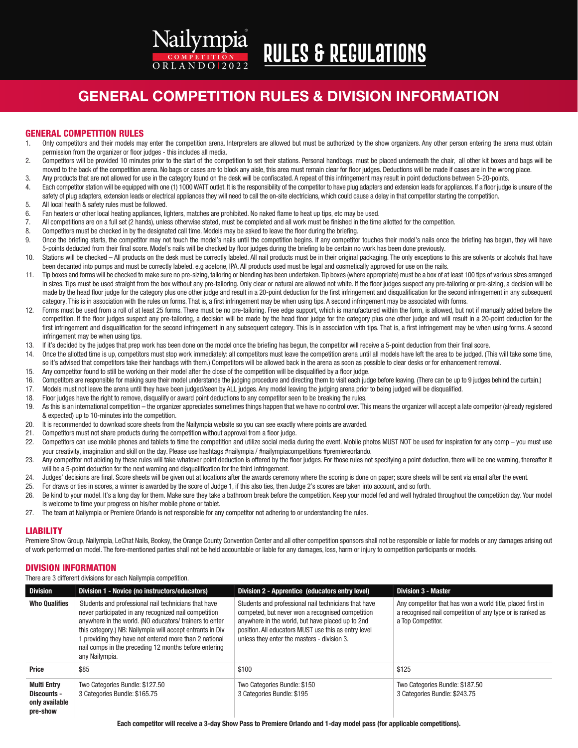# **Rules & Regulations**

 $ORLANDO12022$ 

Nailympia

### GENERAL COMPETITION RULES & DIVISION INFORMATION

#### GENERAL COMPETITION RULES

- 1. Only competitors and their models may enter the competition arena. Interpreters are allowed but must be authorized by the show organizers. Any other person entering the arena must obtain permission from the organizer or floor judges - this includes all media.
- 2. Competitors will be provided 10 minutes prior to the start of the competition to set their stations. Personal handbags, must be placed underneath the chair, all other kit boxes and bags will be moved to the back of the competition arena. No bags or cases are to block any aisle, this area must remain clear for floor judges. Deductions will be made if cases are in the wrong place.
- 3. Any products that are not allowed for use in the category found on the desk will be confiscated. A repeat of this infringement may result in point deductions between 5-20-points.
- 4. Each competitor station will be equipped with one (1) 1000 WATT outlet. It is the responsibility of the competitor to have plug adapters and extension leads for appliances. If a floor judge is unsure of the safety of plug adapters, extension leads or electrical appliances they will need to call the on-site electricians, which could cause a delay in that competitor starting the competition.
- 5. All local health & safety rules must be followed.
- 6. Fan heaters or other local heating appliances, lighters, matches are prohibited. No naked flame to heat up tips, etc may be used.
- 7. All competitions are on a full set (2 hands), unless otherwise stated, must be completed and all work must be finished in the time allotted for the competition.
- 8. Competitors must be checked in by the designated call time. Models may be asked to leave the floor during the briefing.
- 9. Once the briefing starts, the competitor may not touch the model's nails until the competition begins. If any competitor touches their model's nails once the briefing has begun, they will have 5-points deducted from their final score. Model's nails will be checked by floor judges during the briefing to be certain no work has been done previously.
- 10. Stations will be checked All products on the desk must be correctly labeled. All nail products must be in their original packaging. The only exceptions to this are solvents or alcohols that have been decanted into pumps and must be correctly labeled. e.g acetone, IPA. All products used must be legal and cosmetically approved for use on the nails.
- 11. Tip boxes and forms will be checked to make sure no pre-sizing, tailoring or blending has been undertaken. Tip boxes (where appropriate) must be a box of at least 100 tips of various sizes arranged in sizes. Tips must be used straight from the box without any pre-tailoring. Only clear or natural are allowed not white. If the floor judges suspect any pre-tailoring or pre-sizing, a decision will be made by the head floor judge for the category plus one other judge and result in a 20-point deduction for the first infringement and disqualification for the second infringement in any subsequent category. This is in association with the rules on forms. That is, a first infringement may be when using tips. A second infringement may be associated with forms.
- 12. Forms must be used from a roll of at least 25 forms. There must be no pre-tailoring. Free edge support, which is manufactured within the form, is allowed, but not if manually added before the competition. If the floor judges suspect any pre-tailoring, a decision will be made by the head floor judge for the category plus one other judge and will result in a 20-point deduction for the first infringement and disqualification for the second infringement in any subsequent category. This is in association with tips. That is, a first infringement may be when using forms. A second infringement may be when using tips.
- 13. If it's decided by the judges that prep work has been done on the model once the briefing has begun, the competitor will receive a 5-point deduction from their final score.
- 14. Once the allotted time is up, competitors must stop work immediately: all competitors must leave the competition arena until all models have left the area to be judged. (This will take some time, so it's advised that competitors take their handbags with them.) Competitors will be allowed back in the arena as soon as possible to clear desks or for enhancement removal.
- 15. Any competitor found to still be working on their model after the close of the competition will be disqualified by a floor judge.
- 16. Competitors are responsible for making sure their model understands the judging procedure and directing them to visit each judge before leaving. (There can be up to 9 judges behind the curtain.)
- 17. Models must not leave the arena until they have been judged/seen by ALL judges. Any model leaving the judging arena prior to being judged will be disqualified.
- 18. Floor judges have the right to remove, disqualify or award point deductions to any competitor seen to be breaking the rules.
- 19. As this is an international competition the organizer appreciates sometimes things happen that we have no control over. This means the organizer will accept a late competitor (already registered & expected) up to 10-minutes into the competition.
- 20. It is recommended to download score sheets from the Nailympia website so you can see exactly where points are awarded.
- 21. Competitors must not share products during the competition without approval from a floor judge.
- 22. Competitors can use mobile phones and tablets to time the competition and utilize social media during the event. Mobile photos MUST NOT be used for inspiration for any comp you must use your creativity, imagination and skill on the day. Please use hashtags #nailympia / #nailympiacompetitions #premiereorlando.
- 23. Any competitor not abiding by these rules will take whatever point deduction is offered by the floor judges. For those rules not specifying a point deduction, there will be one warning, thereafter it will be a 5-point deduction for the next warning and disqualification for the third infringement.
- 24. Judges' decisions are final. Score sheets will be given out at locations after the awards ceremony where the scoring is done on paper; score sheets will be sent via email after the event.
- 25. For draws or ties in scores, a winner is awarded by the score of Judge 1, if this also ties, then Judge 2's scores are taken into account, and so forth.
- 26. Be kind to your model. It's a long day for them. Make sure they take a bathroom break before the competition. Keep your model fed and well hydrated throughout the competition day. Your model is welcome to time your progress on his/her mobile phone or tablet.
- 27. The team at Nailympia or Premiere Orlando is not responsible for any competitor not adhering to or understanding the rules.

#### LIABILITY

Premiere Show Group, Nailympia, LeChat Nails, Booksy, the Orange County Convention Center and all other competition sponsors shall not be responsible or liable for models or any damages arising out of work performed on model. The fore-mentioned parties shall not be held accountable or liable for any damages, loss, harm or injury to competition participants or models.

#### DIVISION INFORMATION

There are 3 different divisions for each Nailympia competition.

| <b>Division</b>                                                 | Division 1 - Novice (no instructors/educators)                                                                                                                                                                                                                                                                                                                             | Division 2 - Apprentice (educators entry level)                                                                                                                                                                                                                     | <b>Division 3 - Master</b>                                                                                                                   |
|-----------------------------------------------------------------|----------------------------------------------------------------------------------------------------------------------------------------------------------------------------------------------------------------------------------------------------------------------------------------------------------------------------------------------------------------------------|---------------------------------------------------------------------------------------------------------------------------------------------------------------------------------------------------------------------------------------------------------------------|----------------------------------------------------------------------------------------------------------------------------------------------|
| <b>Who Qualifies</b>                                            | Students and professional nail technicians that have<br>never participated in any recognized nail competition<br>anywhere in the world. (NO educators/ trainers to enter<br>this category.) NB: Nailympia will accept entrants in Div<br>1 providing they have not entered more than 2 national<br>nail comps in the preceding 12 months before entering<br>any Nailympia. | Students and professional nail technicians that have<br>competed, but never won a recognised competition<br>anywhere in the world, but have placed up to 2nd<br>position. All educators MUST use this as entry level<br>unless they enter the masters - division 3. | Any competitor that has won a world title, placed first in<br>a recognised nail competition of any type or is ranked as<br>a Top Competitor. |
| <b>Price</b>                                                    | \$85                                                                                                                                                                                                                                                                                                                                                                       | \$100                                                                                                                                                                                                                                                               | \$125                                                                                                                                        |
| <b>Multi Entry</b><br>Discounts -<br>only available<br>pre-show | Two Categories Bundle: \$127.50<br>3 Categories Bundle: \$165.75                                                                                                                                                                                                                                                                                                           | Two Categories Bundle: \$150<br>3 Categories Bundle: \$195                                                                                                                                                                                                          | Two Categories Bundle: \$187.50<br>3 Categories Bundle: \$243.75                                                                             |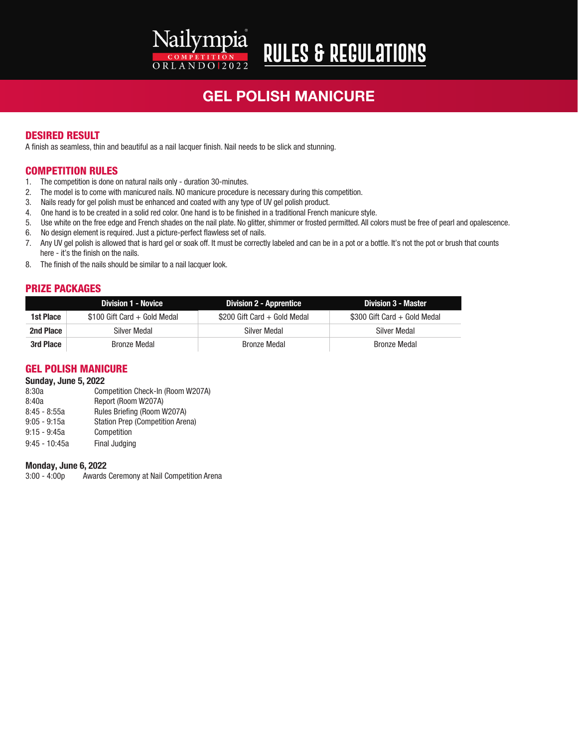# GEL POLISH MANICURE

**Rules & Regulations**

#### DESIRED RESULT

A finish as seamless, thin and beautiful as a nail lacquer finish. Nail needs to be slick and stunning.

#### COMPETITION RULES

- 1. The competition is done on natural nails only duration 30-minutes.
- 2. The model is to come with manicured nails. NO manicure procedure is necessary during this competition.

Nailympia

ORLANDO 2022

- 3. Nails ready for gel polish must be enhanced and coated with any type of UV gel polish product.
- 4. One hand is to be created in a solid red color. One hand is to be finished in a traditional French manicure style.
- 5. Use white on the free edge and French shades on the nail plate. No glitter, shimmer or frosted permitted. All colors must be free of pearl and opalescence.
- 6. No design element is required. Just a picture-perfect flawless set of nails.
- 7. Any UV gel polish is allowed that is hard gel or soak off. It must be correctly labeled and can be in a pot or a bottle. It's not the pot or brush that counts here - it's the finish on the nails.
- 8. The finish of the nails should be similar to a nail lacquer look.

#### PRIZE PACKAGES

|           | <b>Division 1 - Novice</b>    | <b>Division 2 - Apprentice</b> | <b>Division 3 - Master</b>   |
|-----------|-------------------------------|--------------------------------|------------------------------|
| 1st Place | $$100$ Gift Card + Gold Medal | \$200 Gift Card + Gold Medal   | \$300 Gift Card + Gold Medal |
| 2nd Place | Silver Medal                  | Silver Medal                   | Silver Medal                 |
| 3rd Place | <b>Bronze Medal</b>           | <b>Bronze Medal</b>            | <b>Bronze Medal</b>          |

#### GEL POLISH MANICURE

#### Sunday, June 5, 2022

| 8:30a           | Competition Check-In (Room W207A)       |
|-----------------|-----------------------------------------|
| 8:40a           | Report (Room W207A)                     |
| $8:45 - 8:55a$  | Rules Briefing (Room W207A)             |
| $9:05 - 9:15a$  | <b>Station Prep (Competition Arena)</b> |
| $9:15 - 9:45a$  | Competition                             |
| $9:45 - 10:45a$ | Final Judging                           |
|                 |                                         |

#### Monday, June 6, 2022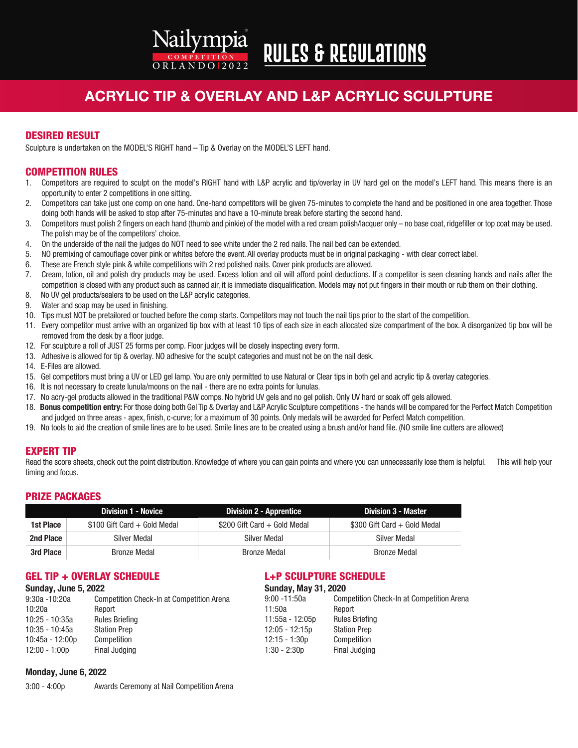# **Rules & Regulations**

 $ORLANDO12022$ 

Nailympia

### ACRYLIC TIP & OVERLAY AND L&P ACRYLIC SCULPTURE

#### DESIRED RESULT

Sculpture is undertaken on the MODEL'S RIGHT hand – Tip & Overlay on the MODEL'S LEFT hand.

#### COMPETITION RULES

- 1. Competitors are required to sculpt on the model's RIGHT hand with L&P acrylic and tip/overlay in UV hard gel on the model's LEFT hand. This means there is an opportunity to enter 2 competitions in one sitting.
- 2. Competitors can take just one comp on one hand. One-hand competitors will be given 75-minutes to complete the hand and be positioned in one area together. Those doing both hands will be asked to stop after 75-minutes and have a 10-minute break before starting the second hand.
- 3. Competitors must polish 2 fingers on each hand (thumb and pinkie) of the model with a red cream polish/lacquer only no base coat, ridgefiller or top coat may be used. The polish may be of the competitors' choice.
- 4. On the underside of the nail the judges do NOT need to see white under the 2 red nails. The nail bed can be extended.
- 5. NO premixing of camouflage cover pink or whites before the event. All overlay products must be in original packaging with clear correct label.
- 6. These are French style pink & white competitions with 2 red polished nails. Cover pink products are allowed.
- 7. Cream, lotion, oil and polish dry products may be used. Excess lotion and oil will afford point deductions. If a competitor is seen cleaning hands and nails after the competition is closed with any product such as canned air, it is immediate disqualification. Models may not put fingers in their mouth or rub them on their clothing.
- 8. No UV gel products/sealers to be used on the L&P acrylic categories.
- 9. Water and soap may be used in finishing.
- 10. Tips must NOT be pretailored or touched before the comp starts. Competitors may not touch the nail tips prior to the start of the competition.
- 11. Every competitor must arrive with an organized tip box with at least 10 tips of each size in each allocated size compartment of the box. A disorganized tip box will be removed from the desk by a floor judge.
- 12. For sculpture a roll of JUST 25 forms per comp. Floor judges will be closely inspecting every form.
- 13. Adhesive is allowed for tip & overlay. NO adhesive for the sculpt categories and must not be on the nail desk.
- 14. E-Files are allowed.
- 15. Gel competitors must bring a UV or LED gel lamp. You are only permitted to use Natural or Clear tips in both gel and acrylic tip & overlay categories.
- 16. It is not necessary to create lunula/moons on the nail there are no extra points for lunulas.
- 17. No acry-gel products allowed in the traditional P&W comps. No hybrid UV gels and no gel polish. Only UV hard or soak off gels allowed.
- 18. Bonus competition entry: For those doing both Gel Tip & Overlay and L&P Acrylic Sculpture competitions the hands will be compared for the Perfect Match Competition and judged on three areas - apex, finish, c-curve; for a maximum of 30 points. Only medals will be awarded for Perfect Match competition.
- 19. No tools to aid the creation of smile lines are to be used. Smile lines are to be created using a brush and/or hand file. (NO smile line cutters are allowed)

#### EXPERT TIP

Read the score sheets, check out the point distribution. Knowledge of where you can gain points and where you can unnecessarily lose them is helpful. This will help your timing and focus.

#### PRIZE PACKAGES

|           | Division 1 - Novice          | Division 2 - Apprentice      | Division 3 - Master          |
|-----------|------------------------------|------------------------------|------------------------------|
| 1st Place | \$100 Gift Card + Gold Medal | \$200 Gift Card + Gold Medal | \$300 Gift Card + Gold Medal |
| 2nd Place | Silver Medal                 | Silver Medal                 | Silver Medal                 |
| 3rd Place | <b>Bronze Medal</b>          | <b>Bronze Medal</b>          | Bronze Medal                 |

#### GEL TIP + OVERLAY SCHEDULE

#### L+P SCULPTURE SCHEDULE

| <b>Sunday, June 5, 2022</b> |                                                  | <b>Sunday, May 31, 2020</b> |                                                  |
|-----------------------------|--------------------------------------------------|-----------------------------|--------------------------------------------------|
| 9:30a -10:20a               | <b>Competition Check-In at Competition Arena</b> | $9:00 - 11:50a$             | <b>Competition Check-In at Competition Arena</b> |
| 10:20a                      | Report                                           | 11:50a                      | Report                                           |
| 10:25 - 10:35a              | <b>Rules Briefing</b>                            | 11:55a - 12:05p             | <b>Rules Briefing</b>                            |
| 10:35 - 10:45a              | <b>Station Prep</b>                              | $12:05 - 12:15p$            | <b>Station Prep</b>                              |
| 10:45a - 12:00p             | Competition                                      | 12:15 - 1:30p               | Competition                                      |
| $12:00 - 1:00p$             | Final Judging                                    | $1:30 - 2:30p$              | Final Judging                                    |

#### Monday, June 6, 2022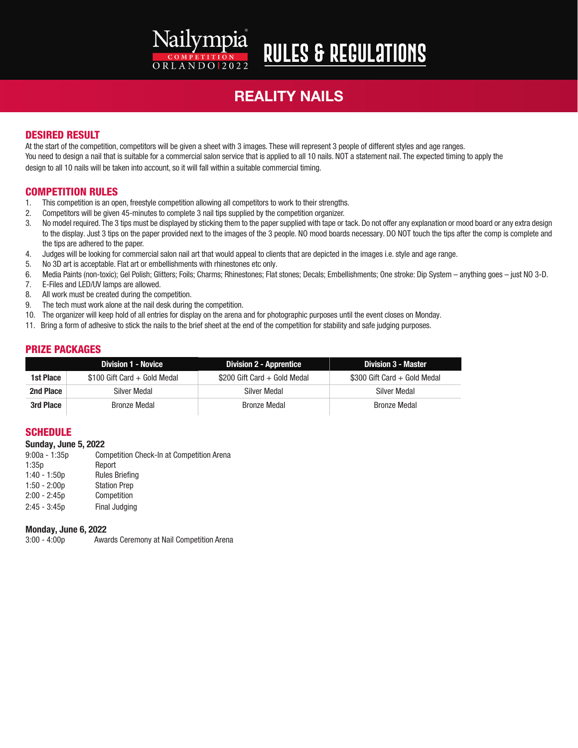## Nailympia  $ORLANDO12022$

# **Rules & Regulations**

# REALITY NAILS

#### DESIRED RESULT

At the start of the competition, competitors will be given a sheet with 3 images. These will represent 3 people of different styles and age ranges. You need to design a nail that is suitable for a commercial salon service that is applied to all 10 nails. NOT a statement nail. The expected timing to apply the design to all 10 nails will be taken into account, so it will fall within a suitable commercial timing.

#### COMPETITION RULES

- 1. This competition is an open, freestyle competition allowing all competitors to work to their strengths.
- 2. Competitors will be given 45-minutes to complete 3 nail tips supplied by the competition organizer.
- 3. No model required. The 3 tips must be displayed by sticking them to the paper supplied with tape or tack. Do not offer any explanation or mood board or any extra design to the display. Just 3 tips on the paper provided next to the images of the 3 people. NO mood boards necessary. DO NOT touch the tips after the comp is complete and the tips are adhered to the paper.
- 4. Judges will be looking for commercial salon nail art that would appeal to clients that are depicted in the images i.e. style and age range.
- 5. No 3D art is acceptable. Flat art or embellishments with rhinestones etc only.
- 6. Media Paints (non-toxic); Gel Polish; Glitters; Foils; Charms; Rhinestones; Flat stones; Decals; Embellishments; One stroke: Dip System anything goes just NO 3-D.
- 7. E-Files and LED/UV lamps are allowed.
- 8. All work must be created during the competition.
- 9. The tech must work alone at the nail desk during the competition.
- 10. The organizer will keep hold of all entries for display on the arena and for photographic purposes until the event closes on Monday.
- 11. Bring a form of adhesive to stick the nails to the brief sheet at the end of the competition for stability and safe judging purposes.

#### PRIZE PACKAGES

|           | <b>Division 1 - Novice</b>    | <b>Division 2 - Apprentice</b> | <b>Division 3 - Master</b>   |
|-----------|-------------------------------|--------------------------------|------------------------------|
| 1st Place | $$100$ Gift Card + Gold Medal | \$200 Gift Card + Gold Medal   | \$300 Gift Card + Gold Medal |
| 2nd Place | Silver Medal                  | Silver Medal                   | Silver Medal                 |
| 3rd Place | <b>Bronze Medal</b>           | <b>Bronze Medal</b>            | <b>Bronze Medal</b>          |

#### **SCHEDULE**

#### Sunday, June 5, 2022

9:00a - 1:35p Competition Check-In at Competition Arena 1:35p Report 1:40 - 1:50p Rules Briefing 1:50 - 2:00p Station Prep 2:00 - 2:45p Competition 2:45 - 3:45p Final Judging

# **Monday, June 6, 2022**<br>3:00 - 4:00p<br>Awa

Awards Ceremony at Nail Competition Arena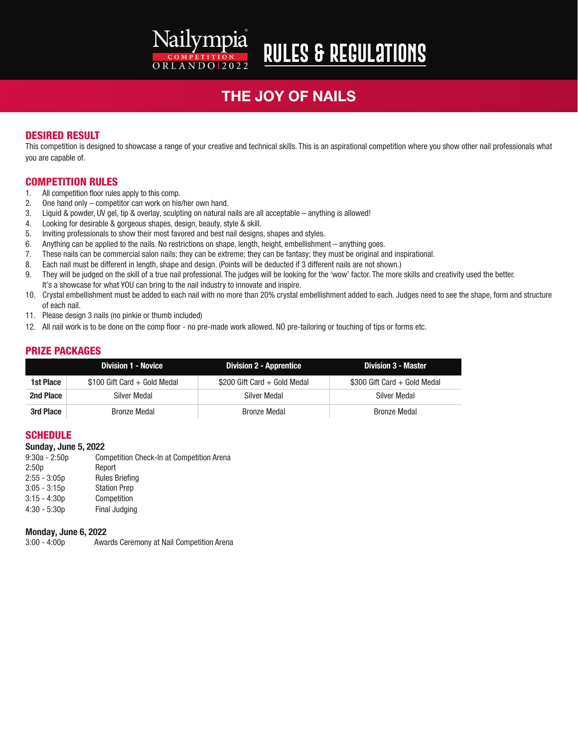#### Nailympia **Rules & Regulations**  $ORLANDO12022$

### THE JOY OF NAILS

#### DESIRED RESULT

This competition is designed to showcase a range of your creative and technical skills. This is an aspirational competition where you show other nail professionals what you are capable of.

#### COMPETITION RULES

- 1. All competition floor rules apply to this comp.
- 2. One hand only competitor can work on his/her own hand.
- 3. Liquid & powder, UV gel, tip & overlay, sculpting on natural nails are all acceptable anything is allowed!
- 4. Looking for desirable & gorgeous shapes, design, beauty, style & skill.
- 5. Inviting professionals to show their most favored and best nail designs, shapes and styles.
- 6. Anything can be applied to the nails. No restrictions on shape, length, height, embellishment anything goes.
- 7. These nails can be commercial salon nails; they can be extreme; they can be fantasy; they must be original and inspirational.
- 8. Each nail must be different in length, shape and design. (Points will be deducted if 3 different nails are not shown.)
- 9. They will be judged on the skill of a true nail professional. The judges will be looking for the 'wow' factor. The more skills and creativity used the better. It's a showcase for what YOU can bring to the nail industry to innovate and inspire.
- 10. Crystal embellishment must be added to each nail with no more than 20% crystal embellishment added to each. Judges need to see the shape, form and structure of each nail.
- 11. Please design 3 nails (no pinkie or thumb included)
- 12. All nail work is to be done on the comp floor no pre-made work allowed. NO pre-tailoring or touching of tips or forms etc.

#### PRIZE PACKAGES

|           | <b>Division 1 - Novice</b>    | <b>Division 2 - Apprentice</b> | <b>Division 3 - Master</b>   |
|-----------|-------------------------------|--------------------------------|------------------------------|
| 1st Place | $$100$ Gift Card + Gold Medal | \$200 Gift Card + Gold Medal   | \$300 Gift Card + Gold Medal |
| 2nd Place | Silver Medal                  | Silver Medal                   | Silver Medal                 |
| 3rd Place | Bronze Medal                  | <b>Bronze Medal</b>            | Bronze Medal                 |

#### **SCHEDULE**

**Sunday, June 5, 2022**<br>9:30a - 2:50p Con Competition Check-In at Competition Arena 2:50p Report 2:55 - 3:05p Rules Briefing 3:05 - 3:15p Station Prep 3:15 - 4:30p Competition 4:30 - 5:30p Final Judging

#### Monday, June 6, 2022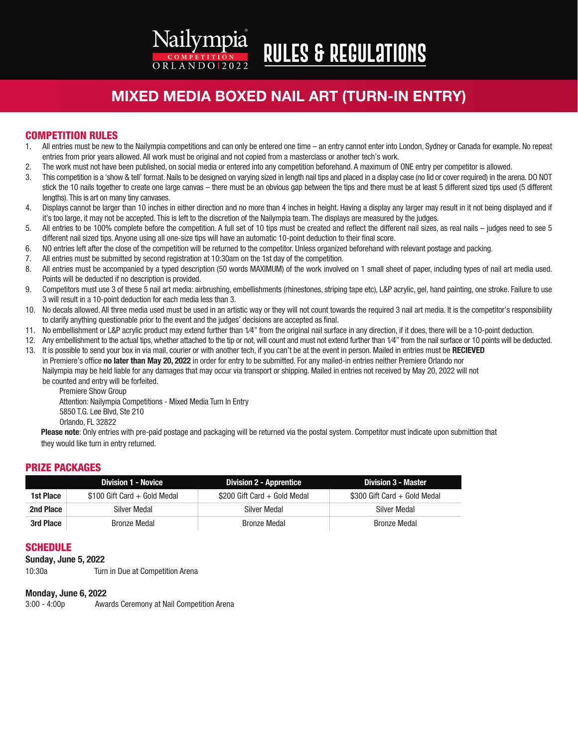# **Rules & Regulations**

 $ORLANDO12022$ 

Nailympia

### MIXED MEDIA BOXED NAIL ART (TURN-IN ENTRY)

#### COMPETITION RULES

- 1. All entries must be new to the Nailympia competitions and can only be entered one time an entry cannot enter into London, Sydney or Canada for example. No repeat entries from prior years allowed. All work must be original and not copied from a masterclass or another tech's work.
- 2. The work must not have been published, on social media or entered into any competition beforehand. A maximum of ONE entry per competitor is allowed.
- 3. This competition is a 'show & tell' format. Nails to be designed on varying sized in length nail tips and placed in a display case (no lid or cover required) in the arena. DO NOT stick the 10 nails together to create one large canvas – there must be an obvious gap between the tips and there must be at least 5 different sized tips used (5 different lengths). This is art on many tiny canvases.
- 4. Displays cannot be larger than 10 inches in either direction and no more than 4 inches in height. Having a display any larger may result in it not being displayed and if it's too large, it may not be accepted. This is left to the discretion of the Nailympia team. The displays are measured by the judges.
- 5. All entries to be 100% complete before the competition. A full set of 10 tips must be created and reflect the different nail sizes, as real nails judges need to see 5 different nail sized tips. Anyone using all one-size tips will have an automatic 10-point deduction to their final score.
- 6. NO entries left after the close of the competition will be returned to the competitor. Unless organized beforehand with relevant postage and packing.
- 7. All entries must be submitted by second registration at 10:30am on the 1st day of the competition.
- 8. All entries must be accompanied by a typed description (50 words MAXIMUM) of the work involved on 1 small sheet of paper, including types of nail art media used. Points will be deducted if no description is provided.
- 9. Competitors must use 3 of these 5 nail art media: airbrushing, embellishments (rhinestones, striping tape etc), L&P acrylic, gel, hand painting, one stroke. Failure to use 3 will result in a 10-point deduction for each media less than 3.
- 10. No decals allowed. All three media used must be used in an artistic way or they will not count towards the required 3 nail art media. It is the competitor's responsibility to clarify anything questionable prior to the event and the judges' decisions are accepted as final.
- 11. No embellishment or L&P acrylic product may extend further than  $1/4$ " from the original nail surface in any direction, if it does, there will be a 10-point deduction.
- 12. Any embellishment to the actual tips, whether attached to the tip or not, will count and must not extend further than 1/4" from the nail surface or 10 points will be deducted.
- 13. It is possible to send your box in via mail, courier or with another tech, if you can't be at the event in person. Mailed in entries must be RECIEVED in Premiere's office no later than May 20, 2022 in order for entry to be submitted. For any mailed-in entries neither Premiere Orlando nor Nailympia may be held liable for any damages that may occur via transport or shipping. Mailed in entries not received by May 20, 2022 will not be counted and entry will be forfeited.

 Premiere Show Group Attention: Nailympia Competitions - Mixed Media Turn In Entry 5850 T.G. Lee Blvd, Ste 210 Orlando, FL 32822

Please note: Only entries with pre-paid postage and packaging will be returned via the postal system. Competitor must indicate upon submittion that they would like turn in entry returned.

#### PRIZE PACKAGES

|           | <b>Division 1 - Novice</b>    | <b>Division 2 - Apprentice</b> | <b>Division 3 - Master</b>   |
|-----------|-------------------------------|--------------------------------|------------------------------|
| 1st Place | $$100$ Gift Card + Gold Medal | \$200 Gift Card + Gold Medal   | \$300 Gift Card + Gold Medal |
| 2nd Place | Silver Medal                  | Silver Medal                   | Silver Medal                 |
| 3rd Place | Bronze Medal                  | Bronze Medal                   | Bronze Medal                 |

#### **SCHEDULE**

Sunday, June 5, 2022

10:30a Turn in Due at Competition Arena

#### Monday, June 6, 2022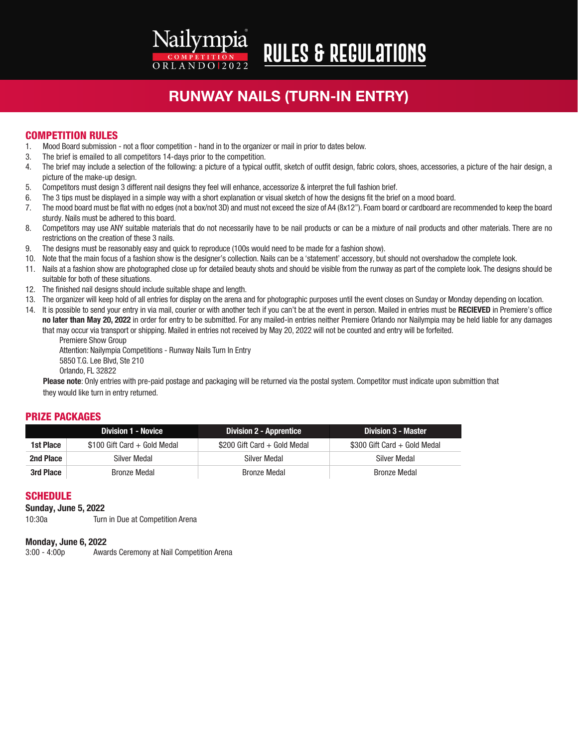# RUNWAY NAILS (TURN-IN ENTRY)

**Rules & Regulations**

#### COMPETITION RULES

1. Mood Board submission - not a floor competition - hand in to the organizer or mail in prior to dates below.

Nailympia

ORLANDO 2022

- 3. The brief is emailed to all competitors 14-days prior to the competition.
- 4. The brief may include a selection of the following: a picture of a typical outfit, sketch of outfit design, fabric colors, shoes, accessories, a picture of the hair design, a picture of the make-up design.
- 5. Competitors must design 3 different nail designs they feel will enhance, accessorize & interpret the full fashion brief.
- 6. The 3 tips must be displayed in a simple way with a short explanation or visual sketch of how the designs fit the brief on a mood board.
- 7. The mood board must be flat with no edges (not a box/not 3D) and must not exceed the size of A4 (8x12"). Foam board or cardboard are recommended to keep the board sturdy. Nails must be adhered to this board.
- 8. Competitors may use ANY suitable materials that do not necessarily have to be nail products or can be a mixture of nail products and other materials. There are no restrictions on the creation of these 3 nails.
- 9. The designs must be reasonably easy and quick to reproduce (100s would need to be made for a fashion show).
- 10. Note that the main focus of a fashion show is the designer's collection. Nails can be a 'statement' accessory, but should not overshadow the complete look.
- 11. Nails at a fashion show are photographed close up for detailed beauty shots and should be visible from the runway as part of the complete look. The designs should be suitable for both of these situations.
- 12. The finished nail designs should include suitable shape and length.
- 13. The organizer will keep hold of all entries for display on the arena and for photographic purposes until the event closes on Sunday or Monday depending on location.
- 14. It is possible to send your entry in via mail, courier or with another tech if you can't be at the event in person. Mailed in entries must be RECIEVED in Premiere's office no later than May 20, 2022 in order for entry to be submitted. For any mailed-in entries neither Premiere Orlando nor Nailympia may be held liable for any damages
	- that may occur via transport or shipping. Mailed in entries not received by May 20, 2022 will not be counted and entry will be forfeited.

 Premiere Show Group Attention: Nailympia Competitions - Runway Nails Turn In Entry 5850 T.G. Lee Blvd, Ste 210 Orlando, FL 32822

Please note: Only entries with pre-paid postage and packaging will be returned via the postal system. Competitor must indicate upon submittion that they would like turn in entry returned.

#### PRIZE PACKAGES

|           | <b>Division 1 - Novice</b>    | <b>Division 2 - Apprentice</b> | Division 3 - Master          |
|-----------|-------------------------------|--------------------------------|------------------------------|
| 1st Place | $$100$ Gift Card + Gold Medal | \$200 Gift Card + Gold Medal   | \$300 Gift Card + Gold Medal |
| 2nd Place | Silver Medal                  | Silver Medal                   | Silver Medal                 |
| 3rd Place | <b>Bronze Medal</b>           | <b>Bronze Medal</b>            | <b>Bronze Medal</b>          |

#### **SCHEDULE**

#### Sunday, June 5, 2022

10:30a Turn in Due at Competition Arena

#### Monday, June 6, 2022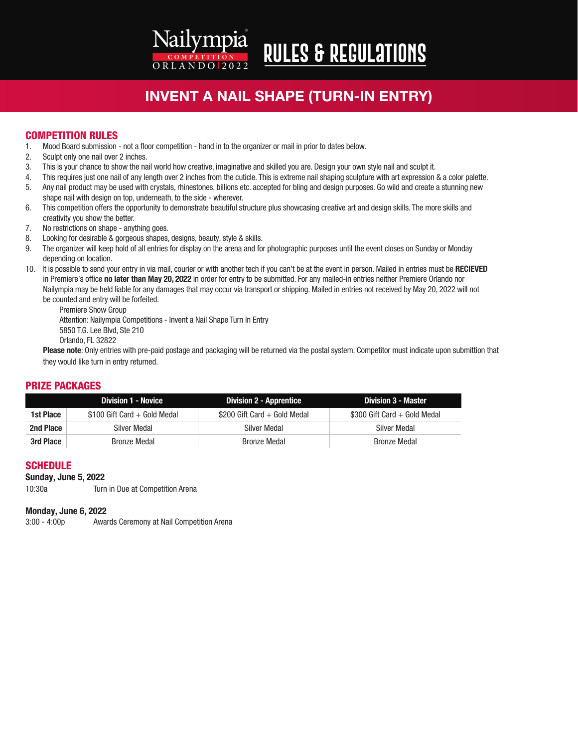Nailympia **Rules & Regulations** ORLANDO 2022

### INVENT A NAIL SHAPE (TURN-IN ENTRY)

#### COMPETITION RULES

- 1. Mood Board submission not a floor competition hand in to the organizer or mail in prior to dates below.
- 2. Sculpt only one nail over 2 inches.
- 3. This is your chance to show the nail world how creative, imaginative and skilled you are. Design your own style nail and sculpt it.
- 4. This requires just one nail of any length over 2 inches from the cuticle. This is extreme nail shaping sculpture with art expression & a color palette.
- 5. Any nail product may be used with crystals, rhinestones, billions etc. accepted for bling and design purposes. Go wild and create a stunning new shape nail with design on top, underneath, to the side - wherever.
- 6. This competition offers the opportunity to demonstrate beautiful structure plus showcasing creative art and design skills. The more skills and creativity you show the better.<br>7. No restrictions on shape - any
- No restrictions on shape anything goes.
- 8. Looking for desirable & gorgeous shapes, designs, beauty, style & skills.
- 9. The organizer will keep hold of all entries for display on the arena and for photographic purposes until the event closes on Sunday or Monday depending on location.
- 10. It is possible to send your entry in via mail, courier or with another tech if you can't be at the event in person. Mailed in entries must be RECIEVED in Premiere's office no later than May 20, 2022 in order for entry to be submitted. For any mailed-in entries neither Premiere Orlando nor Nailympia may be held liable for any damages that may occur via transport or shipping. Mailed in entries not received by May 20, 2022 will not be counted and entry will be forfeited.

 Premiere Show Group Attention: Nailympia Competitions - Invent a Nail Shape Turn In Entry 5850 T.G. Lee Blvd, Ste 210 Orlando, FL 32822

Please note: Only entries with pre-paid postage and packaging will be returned via the postal system. Competitor must indicate upon submittion that they would like turn in entry returned.

#### PRIZE PACKAGES

|           | Division 1 - Novice           | <b>Division 2 - Apprentice</b> | <b>Division 3 - Master</b>   |
|-----------|-------------------------------|--------------------------------|------------------------------|
| 1st Place | $$100$ Gift Card + Gold Medal | \$200 Gift Card + Gold Medal   | \$300 Gift Card + Gold Medal |
| 2nd Place | Silver Medal                  | Silver Medal                   | Silver Medal                 |
| 3rd Place | <b>Bronze Medal</b>           | <b>Bronze Medal</b>            | Bronze Medal                 |

#### **SCHEDULE**

#### Sunday, June 5, 2022

10:30a Turn in Due at Competition Arena

#### Monday, June 6, 2022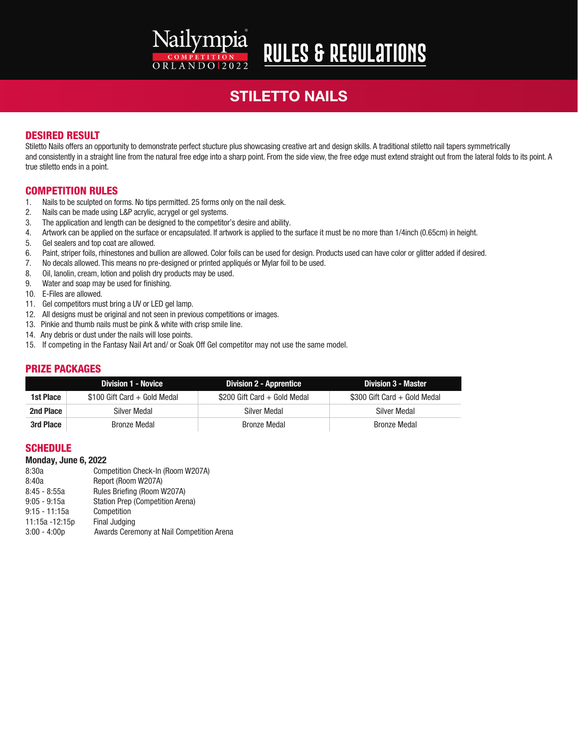# Nailympia ORLANDO 2022

# **Rules & Regulations**

# STILETTO NAILS

#### DESIRED RESULT

Stiletto Nails offers an opportunity to demonstrate perfect stucture plus showcasing creative art and design skills. A traditional stiletto nail tapers symmetrically and consistently in a straight line from the natural free edge into a sharp point. From the side view, the free edge must extend straight out from the lateral folds to its point. A true stiletto ends in a point.

#### COMPETITION RULES

- 1. Nails to be sculpted on forms. No tips permitted. 25 forms only on the nail desk.
- 2. Nails can be made using L&P acrylic, acrygel or gel systems.
- 3. The application and length can be designed to the competitor's desire and ability.
- 4. Artwork can be applied on the surface or encapsulated. If artwork is applied to the surface it must be no more than 1/4inch (0.65cm) in height.
- 5. Gel sealers and top coat are allowed.
- 6. Paint, striper foils, rhinestones and bullion are allowed. Color foils can be used for design. Products used can have color or glitter added if desired.
- 7. No decals allowed. This means no pre-designed or printed appliqués or Mylar foil to be used.
- 8. Oil, lanolin, cream, lotion and polish dry products may be used.
- 9. Water and soap may be used for finishing.
- 10. E-Files are allowed.
- 11. Gel competitors must bring a UV or LED gel lamp.
- 12. All designs must be original and not seen in previous competitions or images.
- 13. Pinkie and thumb nails must be pink & white with crisp smile line.
- 14. Any debris or dust under the nails will lose points.
- 15. If competing in the Fantasy Nail Art and/ or Soak Off Gel competitor may not use the same model.

#### PRIZE PACKAGES

|           | <b>Division 1 - Novice</b>   | Division 2 - Apprentice      | Division 3 - Master          |
|-----------|------------------------------|------------------------------|------------------------------|
| 1st Place | \$100 Gift Card + Gold Medal | \$200 Gift Card + Gold Medal | \$300 Gift Card + Gold Medal |
| 2nd Place | Silver Medal                 | Silver Medal                 | Silver Medal                 |
| 3rd Place | <b>Bronze Medal</b>          | Bronze Medal                 | <b>Bronze Medal</b>          |

#### **SCHEDULE**

#### Monday, June 6, 2022

| Competition Check-In (Room W207A)         |
|-------------------------------------------|
| Report (Room W207A)                       |
| Rules Briefing (Room W207A)               |
| Station Prep (Competition Arena)          |
| Competition                               |
| Final Judging                             |
| Awards Ceremony at Nail Competition Arena |
|                                           |